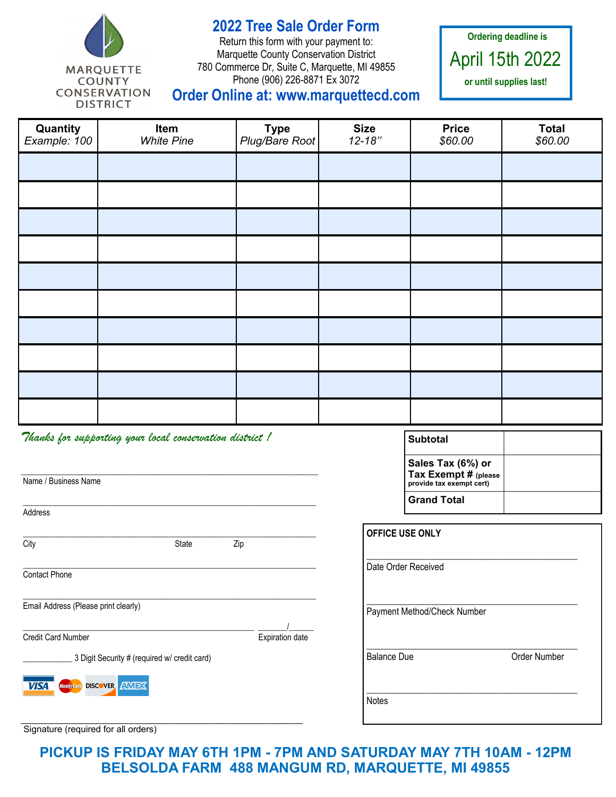

**2022 Tree Sale Order Form**

Return this form with your payment to: Marquette County Conservation District 780 Commerce Dr, Suite C, Marquette, MI 49855 Phone (906) 226-8871 Ex 3072

**Ordering deadline is**  April 15th 2022 **or until supplies last!**

## **Order Online at: www.marquettecd.com**

| Quantity<br>Example: 100                                | Item<br><b>White Pine</b> | <b>Type</b><br>Plug/Bare Root | <b>Size</b><br>$12 - 18"$ | <b>Price</b><br>\$60.00                                               | <b>Total</b><br>\$60.00 |
|---------------------------------------------------------|---------------------------|-------------------------------|---------------------------|-----------------------------------------------------------------------|-------------------------|
|                                                         |                           |                               |                           |                                                                       |                         |
|                                                         |                           |                               |                           |                                                                       |                         |
|                                                         |                           |                               |                           |                                                                       |                         |
|                                                         |                           |                               |                           |                                                                       |                         |
|                                                         |                           |                               |                           |                                                                       |                         |
|                                                         |                           |                               |                           |                                                                       |                         |
|                                                         |                           |                               |                           |                                                                       |                         |
|                                                         |                           |                               |                           |                                                                       |                         |
|                                                         |                           |                               |                           |                                                                       |                         |
|                                                         |                           |                               |                           |                                                                       |                         |
| Thanks for supporting your local conservation district! |                           |                               |                           | <b>Subtotal</b>                                                       |                         |
| Name / Business Name                                    |                           |                               |                           | Sales Tax (6%) or<br>Tax Exempt # (please<br>provide tax exempt cert) |                         |

Address \_\_\_\_\_\_\_\_\_\_\_\_\_\_\_\_\_\_\_\_\_\_\_\_\_\_\_\_\_\_\_\_\_\_\_\_\_\_\_\_\_\_\_\_\_\_\_\_\_\_\_\_\_\_\_\_\_\_\_\_\_\_\_\_\_\_\_\_\_\_\_ City **State** Zip \_\_\_\_\_\_\_\_\_\_\_\_\_\_\_\_\_\_\_\_\_\_\_\_\_\_\_\_\_\_\_\_\_\_\_\_\_\_\_\_\_\_\_\_\_\_\_\_\_\_\_\_\_\_\_\_\_\_\_\_\_\_\_\_\_\_\_\_\_\_\_ Contact Phone \_\_\_\_\_\_\_\_\_\_\_\_\_\_\_\_\_\_\_\_\_\_\_\_\_\_\_\_\_\_\_\_\_\_\_\_\_\_\_\_\_\_\_\_\_\_\_\_\_\_\_\_\_\_\_\_\_\_\_\_\_\_\_\_\_\_\_\_\_\_\_ Email Address (Please print clearly) \_\_\_\_\_\_\_\_\_\_\_\_\_\_\_\_\_\_\_\_\_\_\_\_\_\_\_\_\_\_\_\_\_\_\_\_\_\_\_\_\_\_\_\_\_\_\_\_\_\_\_\_\_\_\_\_ \_\_\_\_\_\_\_/\_\_\_\_\_\_ **Credit Card Number** <br>
Expiration date 3 Digit Security # (required w/ credit card) **VISA DISCOVER AMEX** 

\_\_\_\_\_\_\_\_\_\_\_\_\_\_\_\_\_\_\_\_\_\_\_\_\_\_\_\_\_\_\_\_\_\_\_\_\_\_\_\_\_\_\_\_\_\_\_\_\_\_\_\_\_\_\_\_

\_\_\_\_\_\_\_\_\_\_\_\_\_\_\_\_\_\_\_\_\_\_\_\_\_\_\_\_\_\_\_\_\_\_\_\_\_\_\_\_\_\_\_\_\_\_\_\_\_\_\_\_\_\_\_\_\_\_\_\_\_\_\_\_\_\_\_\_\_\_\_

| OFFICE USE ONLY             |              |
|-----------------------------|--------------|
| Date Order Received         |              |
| Payment Method/Check Number |              |
| <b>Balance Due</b>          | Order Number |
| <b>Notes</b>                |              |

**Grand Total**

Signature (required for all orders)

**PICKUP IS FRIDAY MAY 6TH 1PM - 7PM AND SATURDAY MAY 7TH 10AM - 12PM BELSOLDA FARM 488 MANGUM RD, MARQUETTE, MI 49855**